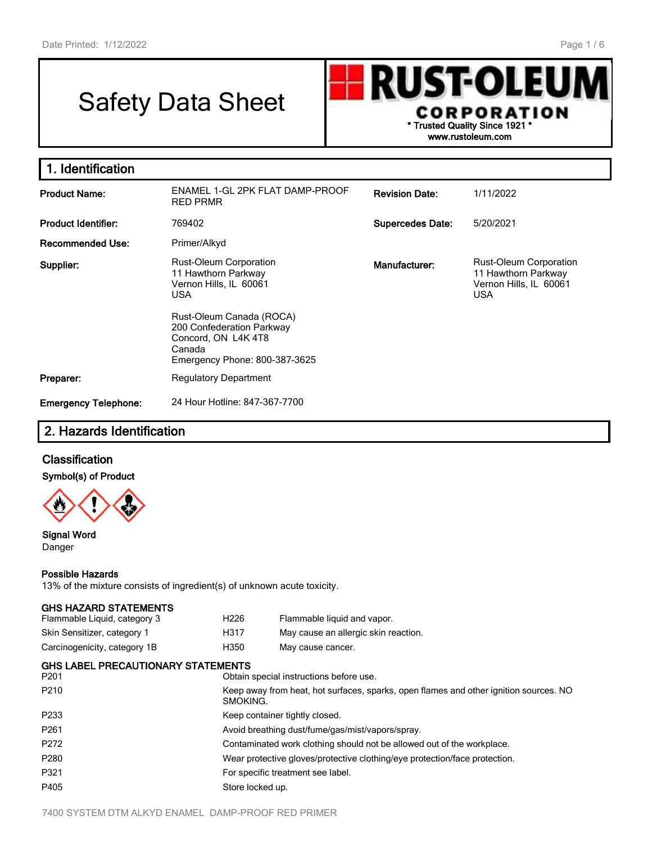# Safety Data Sheet

**RUST-OLEU** h CORPORATION **\* Trusted Quality Since 1921 \* www.rustoleum.com**

| 1. Identification           |                                                                                                                         |                         |                                                                                              |
|-----------------------------|-------------------------------------------------------------------------------------------------------------------------|-------------------------|----------------------------------------------------------------------------------------------|
| <b>Product Name:</b>        | ENAMEL 1-GL 2PK FLAT DAMP-PROOF<br><b>RED PRMR</b>                                                                      | <b>Revision Date:</b>   | 1/11/2022                                                                                    |
| <b>Product Identifier:</b>  | 769402                                                                                                                  | <b>Supercedes Date:</b> | 5/20/2021                                                                                    |
| <b>Recommended Use:</b>     | Primer/Alkyd                                                                                                            |                         |                                                                                              |
| Supplier:                   | <b>Rust-Oleum Corporation</b><br>11 Hawthorn Parkway<br>Vernon Hills, IL 60061<br><b>USA</b>                            | Manufacturer:           | <b>Rust-Oleum Corporation</b><br>11 Hawthorn Parkway<br>Vernon Hills, IL 60061<br><b>USA</b> |
|                             | Rust-Oleum Canada (ROCA)<br>200 Confederation Parkway<br>Concord, ON L4K 4T8<br>Canada<br>Emergency Phone: 800-387-3625 |                         |                                                                                              |
| Preparer:                   | <b>Regulatory Department</b>                                                                                            |                         |                                                                                              |
| <b>Emergency Telephone:</b> | 24 Hour Hotline: 847-367-7700                                                                                           |                         |                                                                                              |

## **2. Hazards Identification**

### **Classification**

### **Symbol(s) of Product**



#### **Signal Word** Danger

### **Possible Hazards**

13% of the mixture consists of ingredient(s) of unknown acute toxicity.

| <b>GHS HAZARD STATEMENTS</b><br>Flammable Liquid, category 3 | H <sub>226</sub>                                                                                  | Flammable liquid and vapor.             |  |
|--------------------------------------------------------------|---------------------------------------------------------------------------------------------------|-----------------------------------------|--|
|                                                              |                                                                                                   |                                         |  |
| Skin Sensitizer, category 1                                  | H317                                                                                              | May cause an allergic skin reaction.    |  |
| Carcinogenicity, category 1B                                 | H350                                                                                              | May cause cancer.                       |  |
| <b>GHS LABEL PRECAUTIONARY STATEMENTS</b>                    |                                                                                                   |                                         |  |
| P <sub>201</sub>                                             |                                                                                                   | Obtain special instructions before use. |  |
| P <sub>210</sub>                                             | Keep away from heat, hot surfaces, sparks, open flames and other ignition sources. NO<br>SMOKING. |                                         |  |
| P <sub>2</sub> 33                                            | Keep container tightly closed.                                                                    |                                         |  |
| P <sub>261</sub>                                             | Avoid breathing dust/fume/gas/mist/vapors/spray.                                                  |                                         |  |
| P <sub>272</sub>                                             | Contaminated work clothing should not be allowed out of the workplace.                            |                                         |  |
| P <sub>280</sub>                                             | Wear protective gloves/protective clothing/eye protection/face protection.                        |                                         |  |
| P321                                                         | For specific treatment see label.                                                                 |                                         |  |
| P405                                                         | Store locked up.                                                                                  |                                         |  |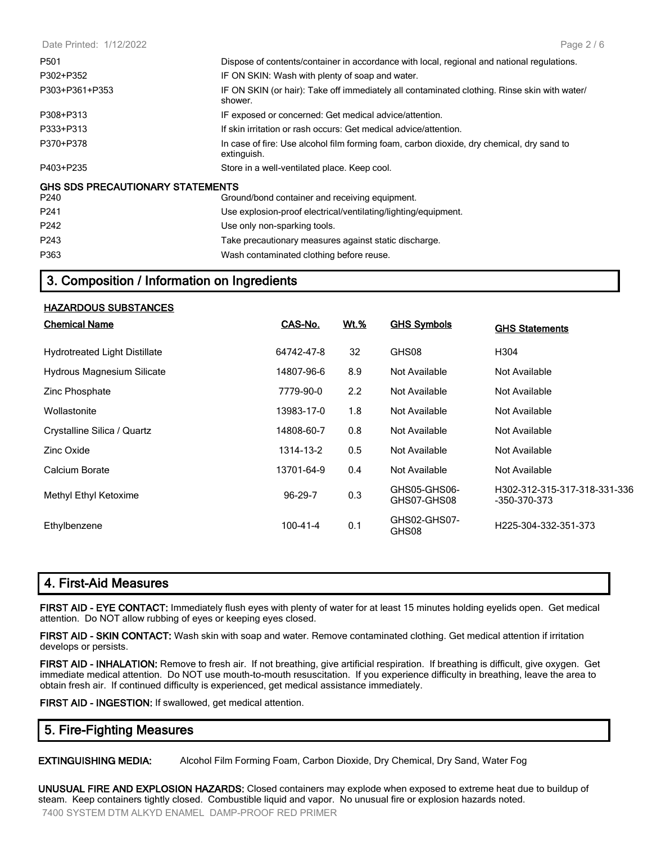| Date Printed: 1/12/2022                         | Page $2/6$                                                                                               |
|-------------------------------------------------|----------------------------------------------------------------------------------------------------------|
| P501                                            | Dispose of contents/container in accordance with local, regional and national regulations.               |
| P302+P352                                       | IF ON SKIN: Wash with plenty of soap and water.                                                          |
| P303+P361+P353                                  | IF ON SKIN (or hair): Take off immediately all contaminated clothing. Rinse skin with water/<br>shower.  |
| P308+P313                                       | IF exposed or concerned: Get medical advice/attention.                                                   |
| P333+P313                                       | If skin irritation or rash occurs: Get medical advice/attention.                                         |
| P370+P378                                       | In case of fire: Use alcohol film forming foam, carbon dioxide, dry chemical, dry sand to<br>extinguish. |
| P403+P235                                       | Store in a well-ventilated place. Keep cool.                                                             |
| <b>GHS SDS PRECAUTIONARY STATEMENTS</b><br>P240 | Ground/bond container and receiving equipment.                                                           |
| P <sub>241</sub>                                | Use explosion-proof electrical/ventilating/lighting/equipment.                                           |
| P242                                            | Use only non-sparking tools.                                                                             |
| P243                                            | Take precautionary measures against static discharge.                                                    |
| P363                                            | Wash contaminated clothing before reuse.                                                                 |

### **3. Composition / Information on Ingredients**

#### **HAZARDOUS SUBSTANCES**

| <b>Chemical Name</b>                 | CAS-No.    | <u>Wt.%</u> | <b>GHS Symbols</b>          | <b>GHS Statements</b>                        |
|--------------------------------------|------------|-------------|-----------------------------|----------------------------------------------|
| <b>Hydrotreated Light Distillate</b> | 64742-47-8 | 32          | GHS08                       | H304                                         |
| Hydrous Magnesium Silicate           | 14807-96-6 | 8.9         | Not Available               | Not Available                                |
| Zinc Phosphate                       | 7779-90-0  | 2.2         | Not Available               | Not Available                                |
| Wollastonite                         | 13983-17-0 | 1.8         | Not Available               | Not Available                                |
| Crystalline Silica / Quartz          | 14808-60-7 | 0.8         | Not Available               | Not Available                                |
| Zinc Oxide                           | 1314-13-2  | 0.5         | Not Available               | Not Available                                |
| Calcium Borate                       | 13701-64-9 | 0.4         | Not Available               | Not Available                                |
| Methyl Ethyl Ketoxime                | 96-29-7    | 0.3         | GHS05-GHS06-<br>GHS07-GHS08 | H302-312-315-317-318-331-336<br>-350-370-373 |
| Ethylbenzene                         | 100-41-4   | 0.1         | GHS02-GHS07-<br>GHS08       | H225-304-332-351-373                         |

### **4. First-Aid Measures**

**FIRST AID - EYE CONTACT:** Immediately flush eyes with plenty of water for at least 15 minutes holding eyelids open. Get medical attention. Do NOT allow rubbing of eyes or keeping eyes closed.

**FIRST AID - SKIN CONTACT:** Wash skin with soap and water. Remove contaminated clothing. Get medical attention if irritation develops or persists.

**FIRST AID - INHALATION:** Remove to fresh air. If not breathing, give artificial respiration. If breathing is difficult, give oxygen. Get immediate medical attention. Do NOT use mouth-to-mouth resuscitation. If you experience difficulty in breathing, leave the area to obtain fresh air. If continued difficulty is experienced, get medical assistance immediately.

**FIRST AID - INGESTION:** If swallowed, get medical attention.

### **5. Fire-Fighting Measures**

**EXTINGUISHING MEDIA:** Alcohol Film Forming Foam, Carbon Dioxide, Dry Chemical, Dry Sand, Water Fog

**UNUSUAL FIRE AND EXPLOSION HAZARDS:** Closed containers may explode when exposed to extreme heat due to buildup of steam. Keep containers tightly closed. Combustible liquid and vapor. No unusual fire or explosion hazards noted. 7400 SYSTEM DTM ALKYD ENAMEL DAMP-PROOF RED PRIMER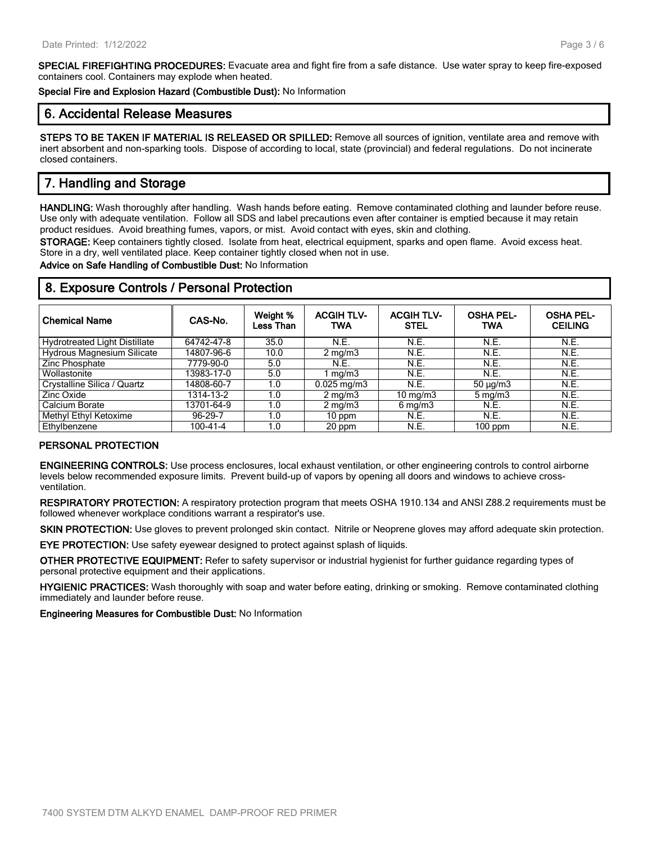**SPECIAL FIREFIGHTING PROCEDURES:** Evacuate area and fight fire from a safe distance. Use water spray to keep fire-exposed containers cool. Containers may explode when heated.

**Special Fire and Explosion Hazard (Combustible Dust):** No Information

### **6. Accidental Release Measures**

**STEPS TO BE TAKEN IF MATERIAL IS RELEASED OR SPILLED:** Remove all sources of ignition, ventilate area and remove with inert absorbent and non-sparking tools. Dispose of according to local, state (provincial) and federal regulations. Do not incinerate closed containers.

### **7. Handling and Storage**

**HANDLING:** Wash thoroughly after handling. Wash hands before eating. Remove contaminated clothing and launder before reuse. Use only with adequate ventilation. Follow all SDS and label precautions even after container is emptied because it may retain product residues. Avoid breathing fumes, vapors, or mist. Avoid contact with eyes, skin and clothing.

**STORAGE:** Keep containers tightly closed. Isolate from heat, electrical equipment, sparks and open flame. Avoid excess heat. Store in a dry, well ventilated place. Keep container tightly closed when not in use.

**Advice on Safe Handling of Combustible Dust:** No Information

| <b>Chemical Name</b>                 | CAS-No.    | Weight %<br>Less Than | <b>ACGIH TLV-</b><br>TWA | <b>ACGIH TLV-</b><br><b>STEL</b> | <b>OSHA PEL-</b><br><b>TWA</b> | <b>OSHA PEL-</b><br><b>CEILING</b> |
|--------------------------------------|------------|-----------------------|--------------------------|----------------------------------|--------------------------------|------------------------------------|
| <b>Hydrotreated Light Distillate</b> | 64742-47-8 | 35.0                  | <b>N.E.</b>              | N.E.                             | N.E.                           | N.E.                               |
| <b>Hydrous Magnesium Silicate</b>    | 14807-96-6 | 10.0                  | $2 \text{ mg/m}$         | N.E.                             | <b>N.E.</b>                    | N.E.                               |
| Zinc Phosphate                       | 7779-90-0  | 5.0                   | N.E.                     | N.E.                             | N.E.                           | N.E.                               |
| Wollastonite                         | 13983-17-0 | 5.0                   | 1 mg/m3                  | N.E.                             | N.E.                           | N.E.                               |
| Crystalline Silica / Quartz          | 14808-60-7 | 1.0                   | $0.025 \,\mathrm{mg/m3}$ | <b>N.E.</b>                      | $50 \mu g/m3$                  | N.E.                               |
| Zinc Oxide                           | 1314-13-2  | 1.0                   | $2 \text{ mg/m}$         | 10 mg/m $3$                      | $5 \,\mathrm{mq/m}$            | N.E.                               |
| Calcium Borate                       | 13701-64-9 | 1.0                   | $2 \text{ mg/m}$         | $6 \,\mathrm{mq/m}$ 3            | <b>N.E.</b>                    | N.E.                               |
| Methyl Ethyl Ketoxime                | 96-29-7    | 1.0                   | 10 ppm                   | N.E.                             | N.E.                           | <b>N.E.</b>                        |
| Ethylbenzene                         | 100-41-4   | 1.0                   | 20 ppm                   | N.E.                             | 100 ppm                        | N.E.                               |

### **8. Exposure Controls / Personal Protection**

#### **PERSONAL PROTECTION**

**ENGINEERING CONTROLS:** Use process enclosures, local exhaust ventilation, or other engineering controls to control airborne levels below recommended exposure limits. Prevent build-up of vapors by opening all doors and windows to achieve crossventilation.

**RESPIRATORY PROTECTION:** A respiratory protection program that meets OSHA 1910.134 and ANSI Z88.2 requirements must be followed whenever workplace conditions warrant a respirator's use.

**SKIN PROTECTION:** Use gloves to prevent prolonged skin contact. Nitrile or Neoprene gloves may afford adequate skin protection.

**EYE PROTECTION:** Use safety eyewear designed to protect against splash of liquids.

**OTHER PROTECTIVE EQUIPMENT:** Refer to safety supervisor or industrial hygienist for further guidance regarding types of personal protective equipment and their applications.

**HYGIENIC PRACTICES:** Wash thoroughly with soap and water before eating, drinking or smoking. Remove contaminated clothing immediately and launder before reuse.

**Engineering Measures for Combustible Dust:** No Information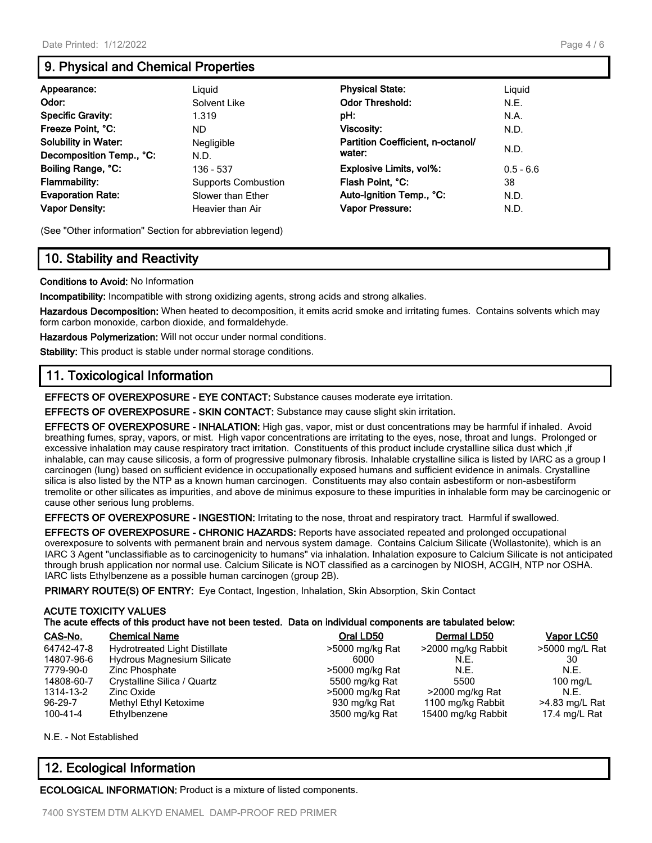### **9. Physical and Chemical Properties**

| Appearance:                 | Liguid                     | <b>Physical State:</b>            | Liguid      |
|-----------------------------|----------------------------|-----------------------------------|-------------|
| Odor:                       | Solvent Like               | <b>Odor Threshold:</b>            | N.E.        |
| <b>Specific Gravity:</b>    | 1.319                      | pH:                               | N.A.        |
| Freeze Point, °C:           | ND.                        | Viscosity:                        | N.D.        |
| <b>Solubility in Water:</b> | Negligible                 | Partition Coefficient, n-octanol/ |             |
| Decomposition Temp., °C:    | N.D.                       | water:                            | N.D.        |
| Boiling Range, °C:          | 136 - 537                  | <b>Explosive Limits, vol%:</b>    | $0.5 - 6.6$ |
| <b>Flammability:</b>        | <b>Supports Combustion</b> | Flash Point, °C:                  | 38          |
| <b>Evaporation Rate:</b>    | Slower than Ether          | Auto-Ignition Temp., °C:          | N.D.        |
| <b>Vapor Density:</b>       | Heavier than Air           | Vapor Pressure:                   | N.D.        |

(See "Other information" Section for abbreviation legend)

### **10. Stability and Reactivity**

#### **Conditions to Avoid:** No Information

**Incompatibility:** Incompatible with strong oxidizing agents, strong acids and strong alkalies.

**Hazardous Decomposition:** When heated to decomposition, it emits acrid smoke and irritating fumes. Contains solvents which may form carbon monoxide, carbon dioxide, and formaldehyde.

**Hazardous Polymerization:** Will not occur under normal conditions.

**Stability:** This product is stable under normal storage conditions.

### **11. Toxicological Information**

**EFFECTS OF OVEREXPOSURE - EYE CONTACT:** Substance causes moderate eye irritation.

**EFFECTS OF OVEREXPOSURE - SKIN CONTACT:** Substance may cause slight skin irritation.

**EFFECTS OF OVEREXPOSURE - INHALATION:** High gas, vapor, mist or dust concentrations may be harmful if inhaled. Avoid breathing fumes, spray, vapors, or mist. High vapor concentrations are irritating to the eyes, nose, throat and lungs. Prolonged or excessive inhalation may cause respiratory tract irritation. Constituents of this product include crystalline silica dust which ,if inhalable, can may cause silicosis, a form of progressive pulmonary fibrosis. Inhalable crystalline silica is listed by IARC as a group I carcinogen (lung) based on sufficient evidence in occupationally exposed humans and sufficient evidence in animals. Crystalline silica is also listed by the NTP as a known human carcinogen. Constituents may also contain asbestiform or non-asbestiform tremolite or other silicates as impurities, and above de minimus exposure to these impurities in inhalable form may be carcinogenic or cause other serious lung problems.

**EFFECTS OF OVEREXPOSURE - INGESTION:** Irritating to the nose, throat and respiratory tract. Harmful if swallowed.

**EFFECTS OF OVEREXPOSURE - CHRONIC HAZARDS:** Reports have associated repeated and prolonged occupational overexposure to solvents with permanent brain and nervous system damage. Contains Calcium Silicate (Wollastonite), which is an IARC 3 Agent "unclassifiable as to carcinogenicity to humans" via inhalation. Inhalation exposure to Calcium Silicate is not anticipated through brush application nor normal use. Calcium Silicate is NOT classified as a carcinogen by NIOSH, ACGIH, NTP nor OSHA. IARC lists Ethylbenzene as a possible human carcinogen (group 2B).

**PRIMARY ROUTE(S) OF ENTRY:** Eye Contact, Ingestion, Inhalation, Skin Absorption, Skin Contact

#### **ACUTE TOXICITY VALUES**

| CAS-No.    | <b>Chemical Name</b>                 | Oral LD50       | Dermal LD50        | Vapor LC50     |
|------------|--------------------------------------|-----------------|--------------------|----------------|
| 64742-47-8 | <b>Hydrotreated Light Distillate</b> | >5000 mg/kg Rat | >2000 mg/kg Rabbit | >5000 mg/L Rat |
| 14807-96-6 | <b>Hydrous Magnesium Silicate</b>    | 6000            | N.E.               | 30             |
| 7779-90-0  | Zinc Phosphate                       | >5000 mg/kg Rat | N.E.               | N.F.           |
| 14808-60-7 | Crystalline Silica / Quartz          | 5500 mg/kg Rat  | 5500               | 100 $mq/L$     |
| 1314-13-2  | Zinc Oxide                           | >5000 mg/kg Rat | >2000 mg/kg Rat    | N.F.           |
| $96-29-7$  | Methyl Ethyl Ketoxime                | 930 mg/kg Rat   | 1100 mg/kg Rabbit  | >4.83 mg/L Rat |
| 100-41-4   | Ethylbenzene                         | 3500 mg/kg Rat  | 15400 mg/kg Rabbit | 17.4 mg/L Rat  |

N.E. - Not Established

### **12. Ecological Information**

**ECOLOGICAL INFORMATION:** Product is a mixture of listed components.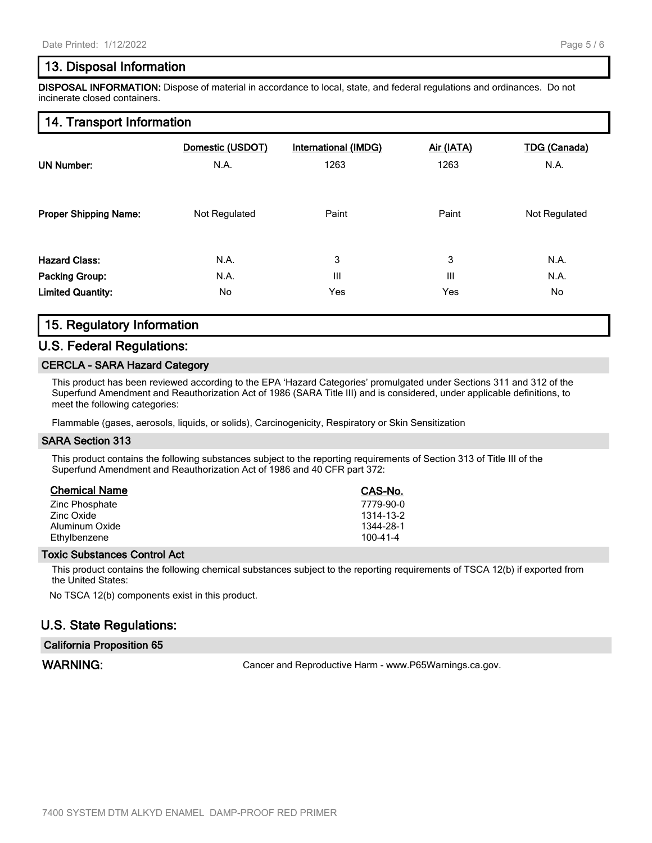### **13. Disposal Information**

**DISPOSAL INFORMATION:** Dispose of material in accordance to local, state, and federal regulations and ordinances. Do not incinerate closed containers.

### **14. Transport Information**

| <b>UN Number:</b>            | Domestic (USDOT) | International (IMDG) | Air (IATA) | <b>TDG (Canada)</b> |
|------------------------------|------------------|----------------------|------------|---------------------|
|                              | N.A.             | 1263                 | 1263       | N.A.                |
| <b>Proper Shipping Name:</b> | Not Regulated    | Paint                | Paint      | Not Regulated       |
| <b>Hazard Class:</b>         | N.A.             | 3                    | 3          | N.A.                |
| <b>Packing Group:</b>        | N.A.             | Ш                    | Ш          | N.A.                |
| <b>Limited Quantity:</b>     | No               | Yes                  | Yes        | No                  |

### **15. Regulatory Information**

### **U.S. Federal Regulations:**

#### **CERCLA - SARA Hazard Category**

This product has been reviewed according to the EPA 'Hazard Categories' promulgated under Sections 311 and 312 of the Superfund Amendment and Reauthorization Act of 1986 (SARA Title III) and is considered, under applicable definitions, to meet the following categories:

Flammable (gases, aerosols, liquids, or solids), Carcinogenicity, Respiratory or Skin Sensitization

#### **SARA Section 313**

This product contains the following substances subject to the reporting requirements of Section 313 of Title III of the Superfund Amendment and Reauthorization Act of 1986 and 40 CFR part 372:

| <b>Chemical Name</b> | CAS-No.        |
|----------------------|----------------|
| Zinc Phosphate       | 7779-90-0      |
| Zinc Oxide           | 1314-13-2      |
| Aluminum Oxide       | 1344-28-1      |
| Ethylbenzene         | $100 - 41 - 4$ |

#### **Toxic Substances Control Act**

This product contains the following chemical substances subject to the reporting requirements of TSCA 12(b) if exported from the United States:

No TSCA 12(b) components exist in this product.

### **U.S. State Regulations:**

#### **California Proposition 65**

WARNING: WARNING: Cancer and Reproductive Harm - www.P65Warnings.ca.gov.